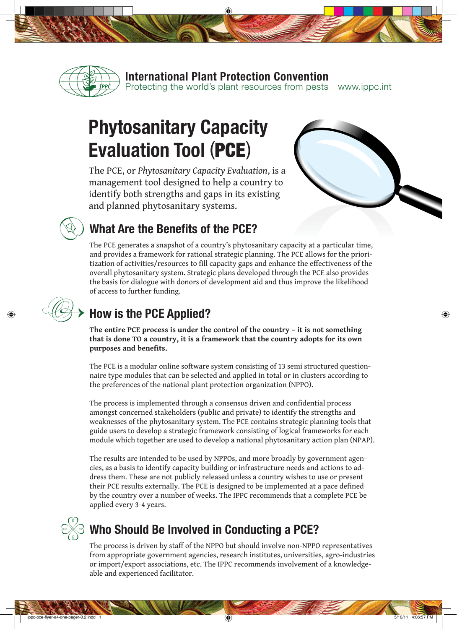

**International Plant Protection Convention**

Protecting the world's plant resources from pests www.ippc.int

# **Phytosanitary Capacity Evaluation Tool** (PCE)

The PCE, or *Phytosanitary Capacity Evaluation*, is a management tool designed to help a country to identify both strengths and gaps in its existing and planned phytosanitary systems.



 *�*

 $\bigoplus$ 

#### **What Are the Benefits of the PCE?**

The PCE generates a snapshot of a country's phytosanitary capacity at a particular time, and provides a framework for rational strategic planning. The PCE allows for the prioritization of activities/resources to fill capacity gaps and enhance the effectiveness of the overall phytosanitary system. Strategic plans developed through the PCE also provides the basis for dialogue with donors of development aid and thus improve the likelihood of access to further funding.

## **How is the PCE Applied?**

**The entire PCE process is under the control of the country – it is not something that is done TO a country, it is a framework that the country adopts for its own purposes and benefits.** 

The PCE is a modular online software system consisting of 13 semi structured questionnaire type modules that can be selected and applied in total or in clusters according to the preferences of the national plant protection organization (NPPO).

The process is implemented through a consensus driven and confidential process amongst concerned stakeholders (public and private) to identify the strengths and weaknesses of the phytosanitary system. The PCE contains strategic planning tools that guide users to develop a strategic framework consisting of logical frameworks for each module which together are used to develop a national phytosanitary action plan (NPAP).

The results are intended to be used by NPPOs, and more broadly by government agencies, as a basis to identify capacity building or infrastructure needs and actions to address them. These are not publicly released unless a country wishes to use or present their PCE results externally. The PCE is designed to be implemented at a pace defined by the country over a number of weeks. The IPPC recommends that a complete PCE be applied every 3-4 years.



### **Who Should Be Involved in Conducting a PCE?**

The process is driven by staff of the NPPO but should involve non-NPPO representatives from appropriate government agencies, research institutes, universities, agro-industries or import/export associations, etc. The IPPC recommends involvement of a knowledgeable and experienced facilitator.

◈